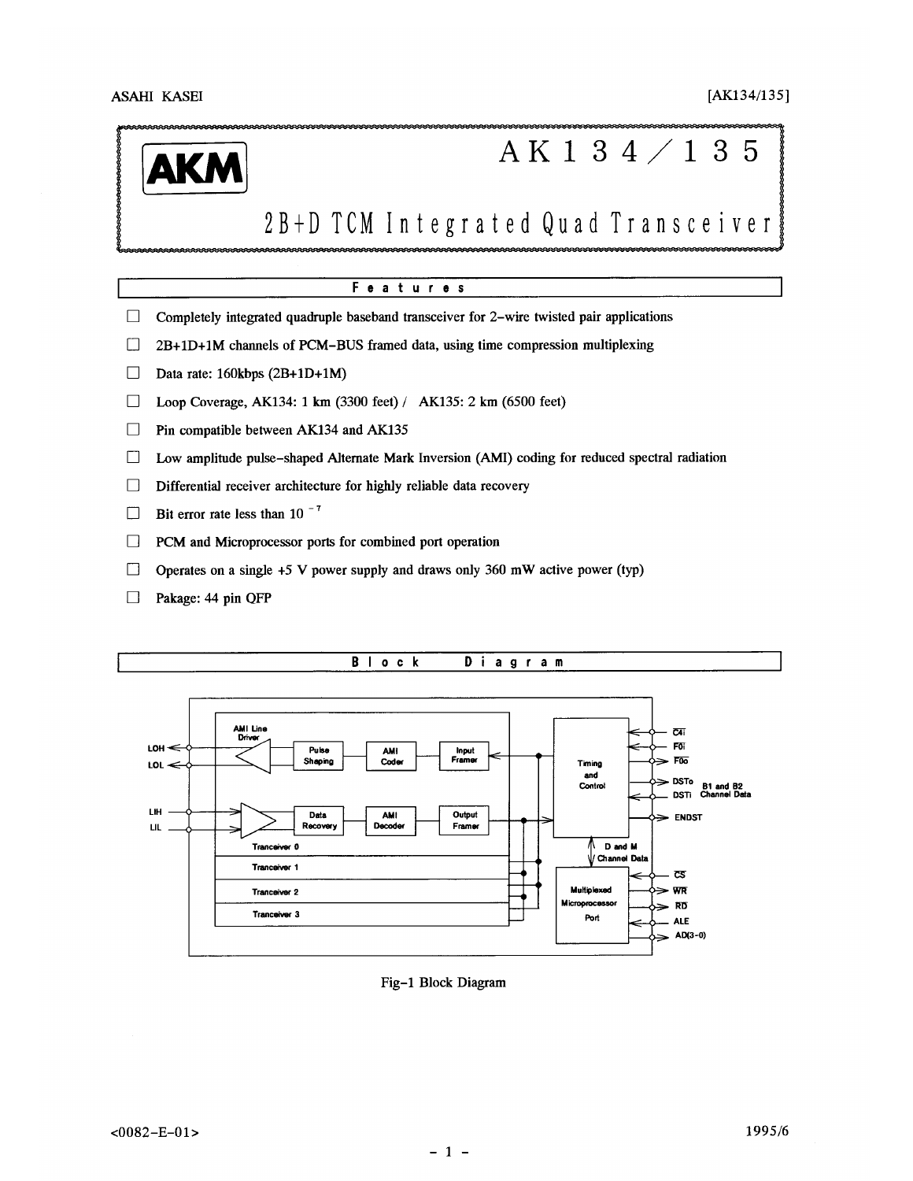

# AK134/135

# 2B+D TCM Integrated Quad Transceiver

# Features

- $\Box$ Completely integrated quadruple baseband transceiver for 2-wire twisted pair applications
- 2B+1D+1M channels of PCM-BUS framed data, using time compression multiplexing  $\Box$
- $\Box$ Data rate: 160kbps (2B+1D+1M)
- Loop Coverage, AK134: 1 km (3300 feet) / AK135: 2 km (6500 feet)  $\Box$
- $\Box$ Pin compatible between AK134 and AK135
- Low amplitude pulse-shaped Alternate Mark Inversion (AMI) coding for reduced spectral radiation  $\Box$
- Differential receiver architecture for highly reliable data recovery  $\Box$
- Bit error rate less than 10 $^{-7}$  $\Box$
- $\Box$ PCM and Microprocessor ports for combined port operation
- $\Box$ Operates on a single  $+5$  V power supply and draws only 360 mW active power (typ)
- $\Box$ Pakage: 44 pin QFP



Fig-1 Block Diagram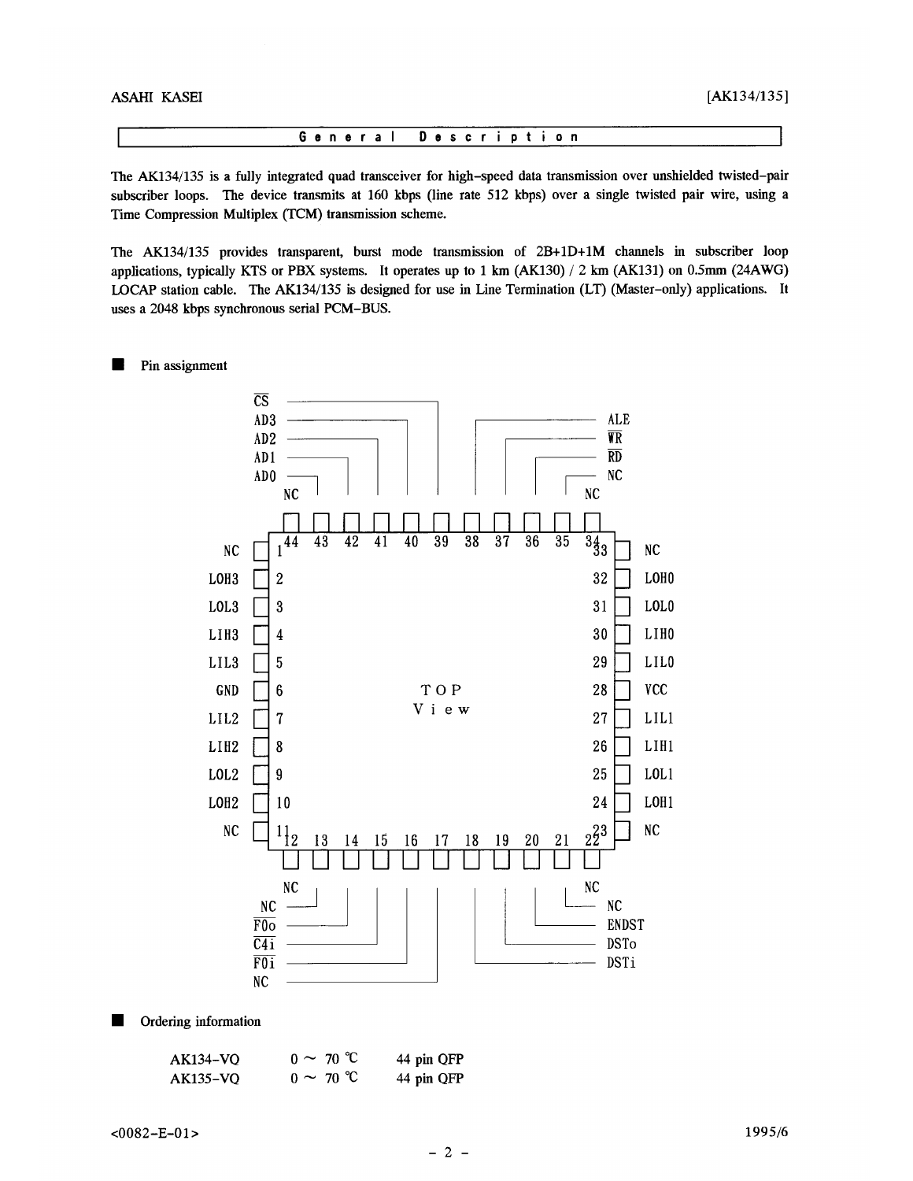

The AK134/135 is a fully integrated quad transceiver for high-speed data transmission over unshielded twisted-pair subscriber loops. The device transmits at 160 kbps (line rate 512 kbps) over a single twisted pair wire, using a Time Compression Multiplex (TCM) transmission scheme.

The AK134/135 provides transparent, burst mode transmission of 2B+1D+1M channels in subscriber loop applications, typically KTS or PBX systems. It operates up to 1 km (AK130) / 2 km (AK131) on 0.5mm (24AWG) LOCAP station cable. The AK134/135 is designed for use in Line Termination (LT) (Master-only) applications. It uses a 2048 kbps synchronous serial PCM-BUS.

#### Pin assignment ш



П Ordering information

| <b>AK134-VQ</b> | $0 \sim 70 °C$ | 44 pin QFP |
|-----------------|----------------|------------|
| <b>AK135-VQ</b> | $0 \sim 70$ °C | 44 pin QFP |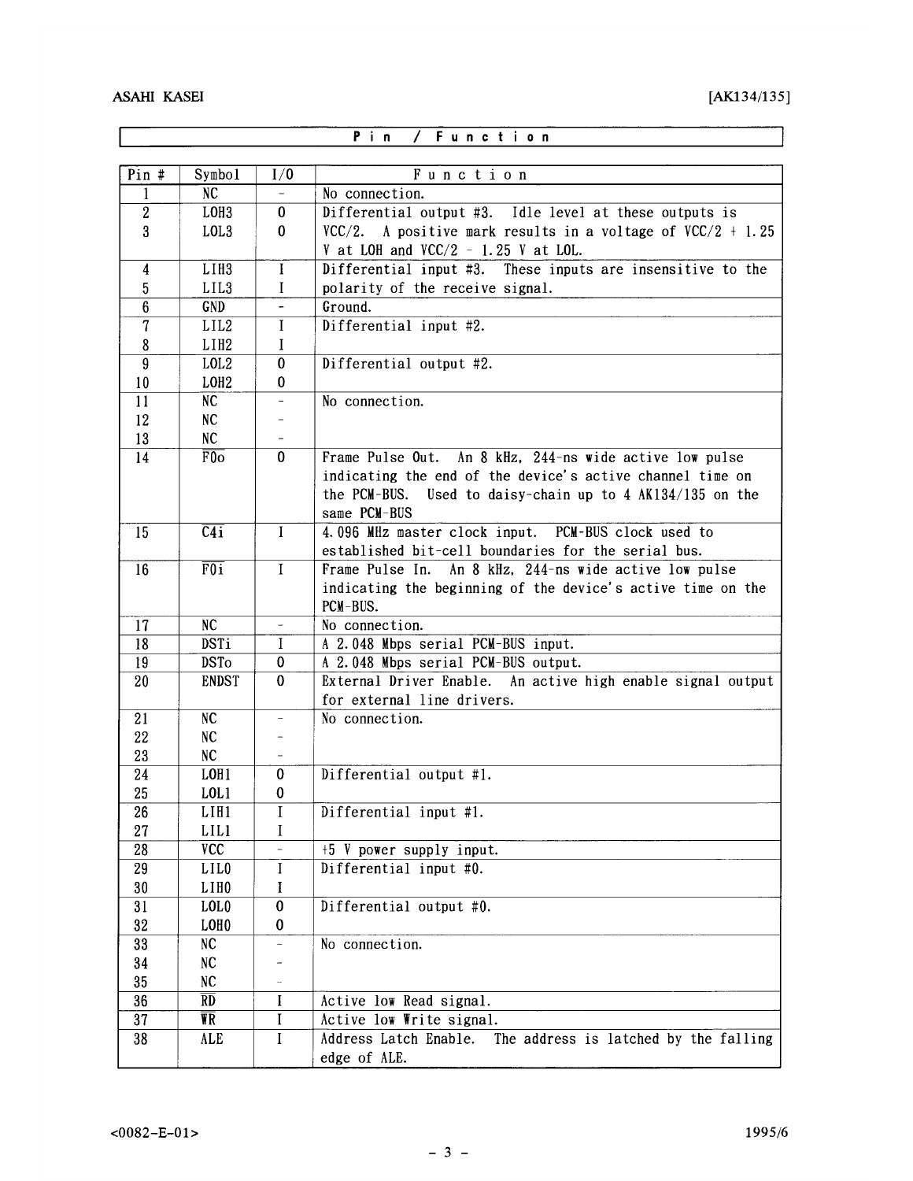$\overline{\phantom{a}}$ 

|                                    | Function<br>Pin<br>$\prime$                  |                          |                                                                                                            |  |  |  |  |
|------------------------------------|----------------------------------------------|--------------------------|------------------------------------------------------------------------------------------------------------|--|--|--|--|
| $Pin$ #                            | Symbo1                                       | I/0                      | Function                                                                                                   |  |  |  |  |
| 1                                  | NC                                           |                          | No connection.                                                                                             |  |  |  |  |
| $\overline{2}$                     | LOH <sub>3</sub>                             | $\mathbf{0}$             | Differential output #3. Idle level at these outputs is                                                     |  |  |  |  |
| $\bf{3}$                           | LOL3                                         | 0                        | VCC/2. A positive mark results in a voltage of $VCC/2 + 1.25$                                              |  |  |  |  |
|                                    |                                              |                          | V at LOH and $VCC/2 - 1.25$ V at LOL.                                                                      |  |  |  |  |
| $\overline{\mathbf{4}}$            | LIH <sub>3</sub>                             | $\bf{I}$                 | Differential input #3. These inputs are insensitive to the                                                 |  |  |  |  |
| 5                                  | LIL3                                         | I                        | polarity of the receive signal.                                                                            |  |  |  |  |
| 6                                  | GND                                          |                          | Ground.                                                                                                    |  |  |  |  |
| 7                                  | LIL <sub>2</sub>                             | I                        | Differential input #2.                                                                                     |  |  |  |  |
| 8                                  | L1H2                                         | $\bf{I}$                 |                                                                                                            |  |  |  |  |
| 9                                  | LOL <sub>2</sub>                             | 0                        | Differential output #2.                                                                                    |  |  |  |  |
| 10                                 | LOH <sub>2</sub>                             | 0                        |                                                                                                            |  |  |  |  |
| 11                                 | NC                                           |                          | No connection.                                                                                             |  |  |  |  |
| 12                                 | NC                                           |                          |                                                                                                            |  |  |  |  |
| 13                                 | NC                                           |                          |                                                                                                            |  |  |  |  |
| 14                                 | F0 <sub>o</sub>                              | $\mathbf{0}$             | Frame Pulse Out.<br>An 8 kHz, 244-ns wide active low pulse                                                 |  |  |  |  |
|                                    |                                              |                          | indicating the end of the device's active channel time on                                                  |  |  |  |  |
|                                    |                                              |                          | the PCM-BUS.<br>Used to daisy-chain up to $4$ AK134/135 on the                                             |  |  |  |  |
|                                    |                                              |                          | same PCM-BUS                                                                                               |  |  |  |  |
| 15                                 | $\overline{C4i}$                             | $\mathbf{I}$             | 4.096 MHz master clock input. PCM-BUS clock used to<br>established bit-cell boundaries for the serial bus. |  |  |  |  |
| 16                                 | $\overline{F0i}$                             | $\mathbf I$              | Frame Pulse In. An 8 kHz, 244-ns wide active low pulse                                                     |  |  |  |  |
|                                    |                                              |                          | indicating the beginning of the device's active time on the                                                |  |  |  |  |
|                                    |                                              |                          | PCM-BUS.                                                                                                   |  |  |  |  |
| 17                                 | NC                                           |                          | No connection.                                                                                             |  |  |  |  |
| 18                                 | <b>DSTi</b>                                  | $\bf{I}$                 | A 2.048 Mbps serial PCM-BUS input.                                                                         |  |  |  |  |
| 19                                 | <b>DSTo</b>                                  | $\bf{0}$                 | A 2.048 Mbps serial PCM-BUS output.                                                                        |  |  |  |  |
| 20                                 | <b>ENDST</b>                                 | $\bf{0}$                 | External Driver Enable. An active high enable signal output                                                |  |  |  |  |
|                                    |                                              |                          | for external line drivers.                                                                                 |  |  |  |  |
| 21                                 | NC                                           | $\overline{\phantom{0}}$ | No connection.                                                                                             |  |  |  |  |
| 22                                 | NC                                           |                          |                                                                                                            |  |  |  |  |
| 23                                 | NC                                           |                          |                                                                                                            |  |  |  |  |
| 24                                 | LOH1                                         | 0                        | Differential output #1.                                                                                    |  |  |  |  |
| 25                                 | LOL1                                         | 0                        |                                                                                                            |  |  |  |  |
| 26                                 | L <sub>III1</sub>                            | $\mathbf I$              | Differential input #1.                                                                                     |  |  |  |  |
| 27                                 | LIL1                                         | I                        |                                                                                                            |  |  |  |  |
| $\overline{28}$                    | VCC                                          |                          | +5 V power supply input.                                                                                   |  |  |  |  |
| 29                                 | LIL <sub>0</sub>                             | I                        | Differential input #0.                                                                                     |  |  |  |  |
| 30                                 | LIH <sub>0</sub>                             | I                        |                                                                                                            |  |  |  |  |
| 31                                 | LOL <sub>0</sub>                             | $\bf{0}$                 | Differential output #0.                                                                                    |  |  |  |  |
| 32                                 | LOH <sub>0</sub>                             | 0                        |                                                                                                            |  |  |  |  |
| 33                                 | NC                                           | ÷,                       | No connection.                                                                                             |  |  |  |  |
| 34                                 | NC                                           |                          |                                                                                                            |  |  |  |  |
| 35                                 | NC                                           |                          |                                                                                                            |  |  |  |  |
| $\overline{36}$<br>$\overline{37}$ | $\overline{RD}$<br>$\overline{\mathbf{Y}}$ R | L                        | Active low Read signal.                                                                                    |  |  |  |  |
|                                    |                                              | I<br>I                   | Active low Write signal.<br>Address Latch Enable.                                                          |  |  |  |  |
| 38                                 | ALE                                          |                          | The address is latched by the falling                                                                      |  |  |  |  |
|                                    |                                              |                          | edge of ALE.                                                                                               |  |  |  |  |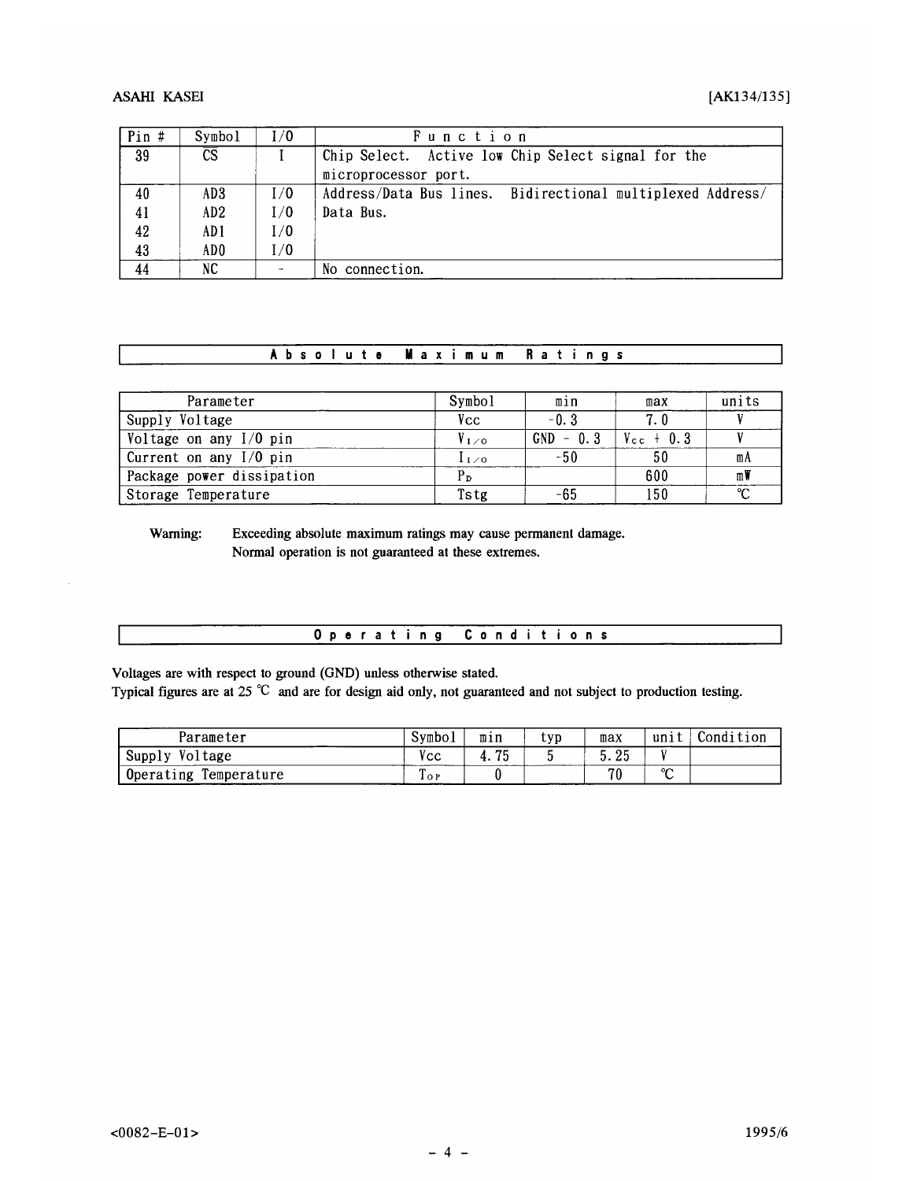# $[AK134/135]$

# **ASAHI KASEI**

| Pin # | Symbol                 | 1/0 | Function                                                   |
|-------|------------------------|-----|------------------------------------------------------------|
| 39    | $\overline{\text{CS}}$ |     | Chip Select. Active low Chip Select signal for the         |
|       |                        |     | microprocessor port.                                       |
| 40    | AD3                    | I/O | Address/Data Bus lines. Bidirectional multiplexed Address/ |
| 41    | AD2                    | I/0 | Data Bus.                                                  |
| 42    | AD 1                   | 1/0 |                                                            |
| 43    | AD0                    | I/0 |                                                            |
| 44    | NC                     |     | No connection.                                             |

#### Absolute **Maximum Ratings**

| Parameter                 | Symbol            | $m_1n_2$    | max                   | units  |
|---------------------------|-------------------|-------------|-----------------------|--------|
| Supply Voltage            | Vec               | $-0.3$      | 7.0                   |        |
| Voltage on any $I/O$ pin  | $V_{\text{L}}$ zo | $GND - 0.3$ | $V_{\text{cc}} + 0.3$ |        |
| Current on any I/O pin    | ہ∠∟1              | $-50$       |                       | mA     |
| Package power dissipation | P <sub>D</sub>    |             | 600                   | mW     |
| Storage Temperature       | Tstg              | -65         | 150                   | $\sim$ |

Warning: Exceeding absolute maximum ratings may cause permanent damage. Normal operation is not guaranteed at these extremes.

Voltages are with respect to ground (GND) unless otherwise stated.

Typical figures are at 25 °C and are for design aid only, not guaranteed and not subject to production testing.

| Parameter                | Symboi                | mın | typ | max         | unit        | Condition |
|--------------------------|-----------------------|-----|-----|-------------|-------------|-----------|
| Voltage<br>Supply        | $\bullet$<br>Vсс      | 75  |     | クロ<br>J. LJ |             |           |
| Temperature<br>Operating | $\mathbf{r}$<br>1 O P |     |     | 70          | $\sim$<br>∼ |           |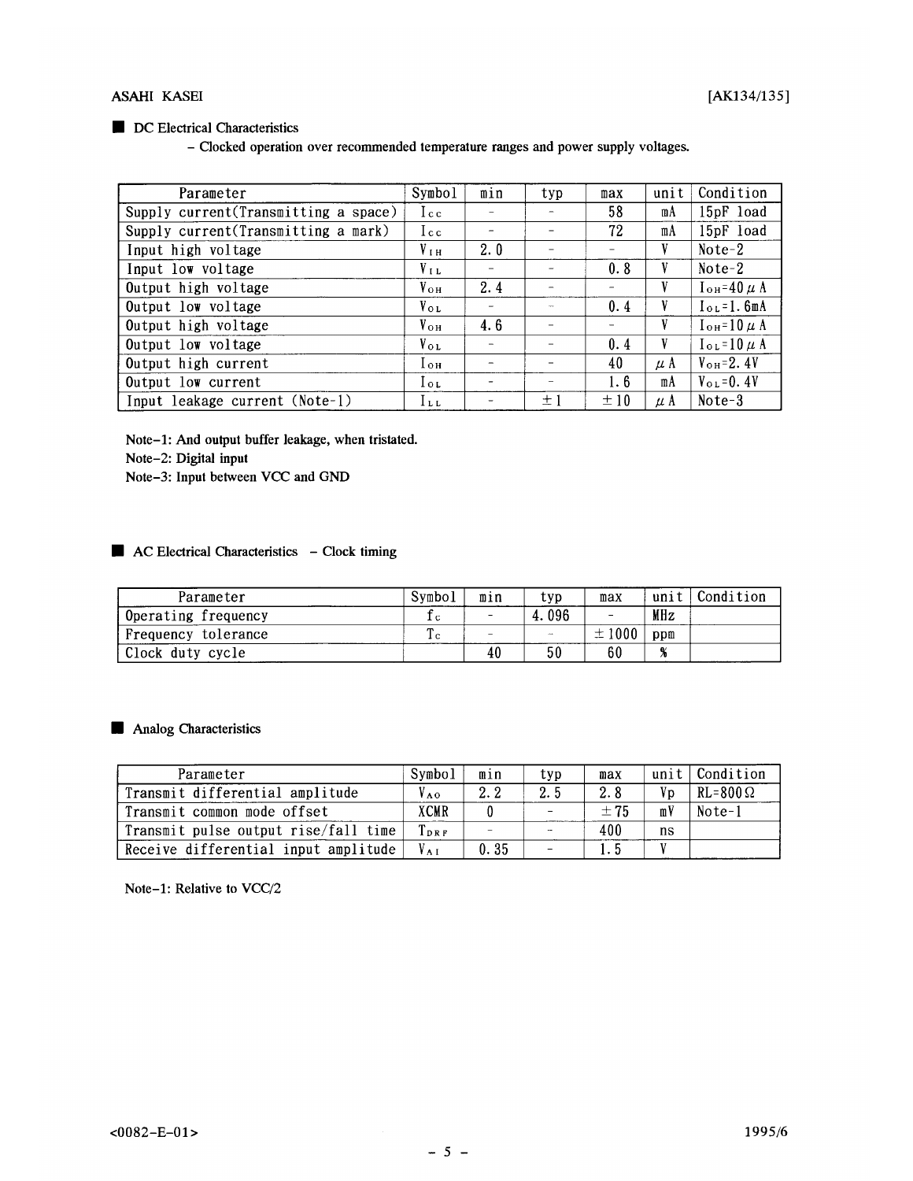# DC Electrical Characteristics

- Clocked operation over recommended temperature ranges and power supply voltages.

| Parameter                            | Symbol           | min | typ | max | unit    | Condition               |
|--------------------------------------|------------------|-----|-----|-----|---------|-------------------------|
| Supply current(Transmitting a space) | I c c            |     |     | 58  | mA      | 15pF load               |
| Supply current(Transmitting a mark)  | $I_{c c}$        |     |     | 72  | mA      | 15pF load               |
| Input high voltage                   | V <sub>I H</sub> | 2.0 |     | -   | V       | $Note-2$                |
| Input low voltage                    | $V_{LL}$         |     |     | 0.8 | V       | $Note-2$                |
| Output high voltage                  | $V_{OH}$         | 2.4 |     |     | V       | $I_{OH} = 40 \mu A$     |
| Output low voltage                   | $V_{OL}$         |     |     | 0.4 | V       | $IoL=1.6mA$             |
| Output high voltage                  | $V_{\text{oH}}$  | 4.6 |     |     | V       | $I_{OH} = 10 \mu A$     |
| Output low voltage                   | $V_{\text{oL}}$  |     |     | 0.4 | V       | $I_{OL} = 10 \mu A$     |
| Output high current                  | Tон              |     |     | 40  | $\mu$ A | $V_{\text{oH}}=2.4V$    |
| Output low current                   | lot              |     |     | 1.6 | mA      | $V_{\text{o L}} = 0.4V$ |
| Input leakage current (Note-1)       | $l_{LL}$         |     | ± J | ±10 | $\mu$ A | $Note-3$                |

Note-1: And output buffer leakage, when tristated.

Note-2: Digital input

Note-3: Input between VCC and GND

# AC Electrical Characteristics - Clock timing

| Parameter           | Symbo1  | mın | typ         | max        | unit         | Condition |
|---------------------|---------|-----|-------------|------------|--------------|-----------|
| Operating frequency | ıс      |     | 4.096       |            | MHz          |           |
| Frequency tolerance | ጡ<br>ıс |     | <b>DOM:</b> | $\pm 1000$ | ppm          |           |
| Clock duty cycle    |         | 40  | 50          | 60         | $\mathbf{a}$ |           |

Analog Characteristics

| Parameter                            | Symbo1        | min  | typ | max |    | unit   Condition  |
|--------------------------------------|---------------|------|-----|-----|----|-------------------|
| Transmit differential amplitude      | $V_{A0}$      | 2.2  | 2.5 | 2.8 | Vp | $RL = 800 \Omega$ |
| Transmit common mode offset          | <b>XCMR</b>   |      |     | ±75 | mV | Note-1            |
| Transmit pulse output rise/fall time | $T_{\rm DRF}$ |      |     | 400 | ns |                   |
| Receive differential input amplitude |               | 0.35 |     | 5   |    |                   |

Note-1: Relative to VCC/2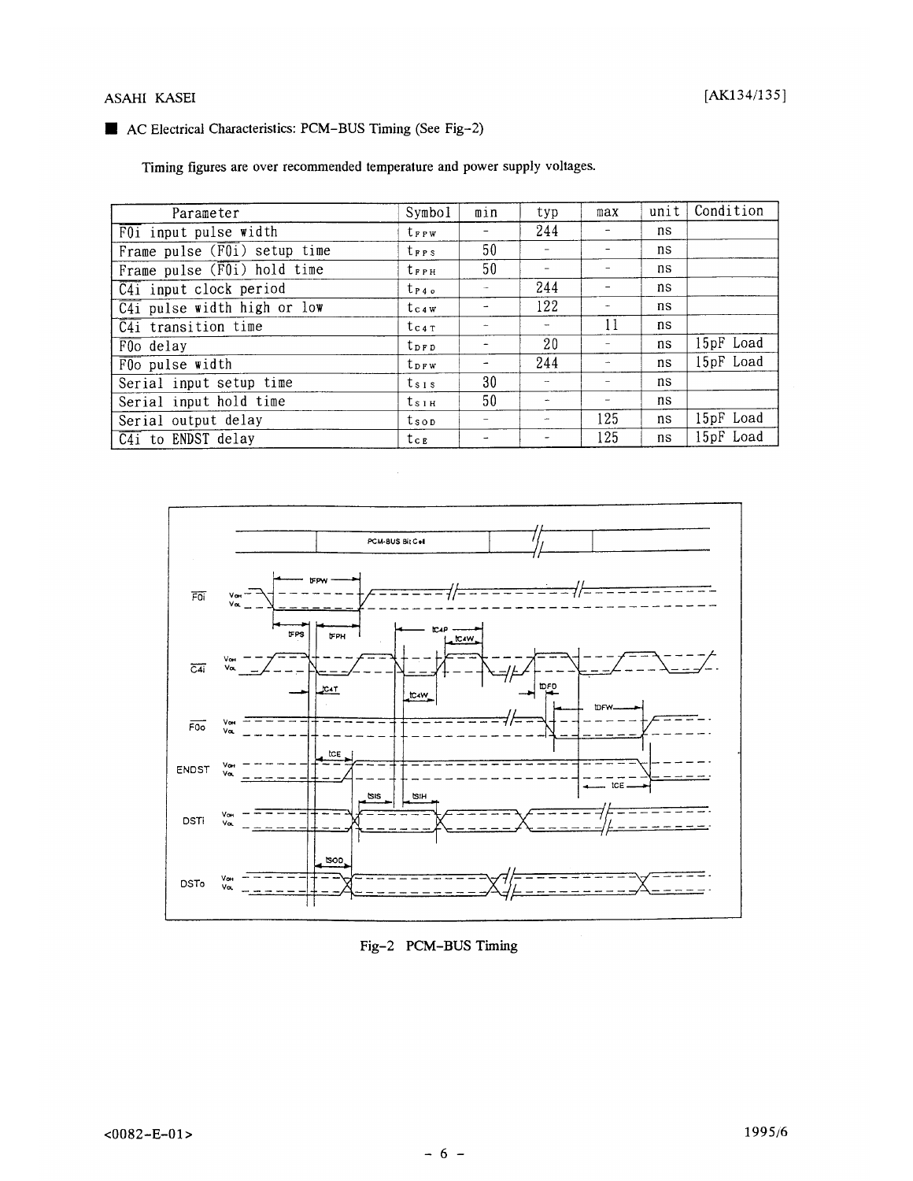# ASAHI KASEI

# AC Electrical Characteristics: PCM-BUS Timing (See Fig-2)

Timing figures are over recommended temperature and power supply voltages.

| Parameter                                 | Symbol                  | min | typ                      | max | unit | Condition |
|-------------------------------------------|-------------------------|-----|--------------------------|-----|------|-----------|
| $\overline{F0i}$ input pulse width        | <b>t</b> <sub>FPW</sub> |     | 244                      |     | ns   |           |
| Frame pulse $(\overline{F01})$ setup time | trrs                    | 50  |                          |     | ns   |           |
| Frame pulse $(F0i)$ hold time             | $t_{\texttt{FPH}}$      | 50  | $\overline{\phantom{a}}$ |     | ns   |           |
| $\overline{C4i}$ input clock period       | $t_{P4}$                |     | 244                      |     | ns   |           |
| $\overline{C4i}$ pulse width high or low  | $t_{c4W}$               |     | 122                      |     | ns   |           |
| $\overline{C4i}$ transition time          | $t_{c4T}$               |     | $\overline{\phantom{a}}$ | 11  | ns   |           |
| $\overline{F00}$ delay                    | $t_{DPD}$               |     | 20                       |     | ns   | 15pF Load |
| $\overline{F00}$ pulse width              | t <sub>DFW</sub>        |     | 244                      |     | ns   | 15pF Load |
| Serial input setup time                   | $t_{s1s}$               | 30  | $\mathbf{u}$             |     | ns   |           |
| Serial input hold time                    | $t_{\text{S1H}}$        | 50  |                          |     | ns   |           |
| Serial output delay                       | tsop                    |     | $\cdots$                 | 125 | ns   | 15pF Load |
| $\overline{C4i}$ to ENDST delay           | tсв                     |     |                          | 125 | ns   | 15pF Load |



Fig-2 PCM-BUS Timing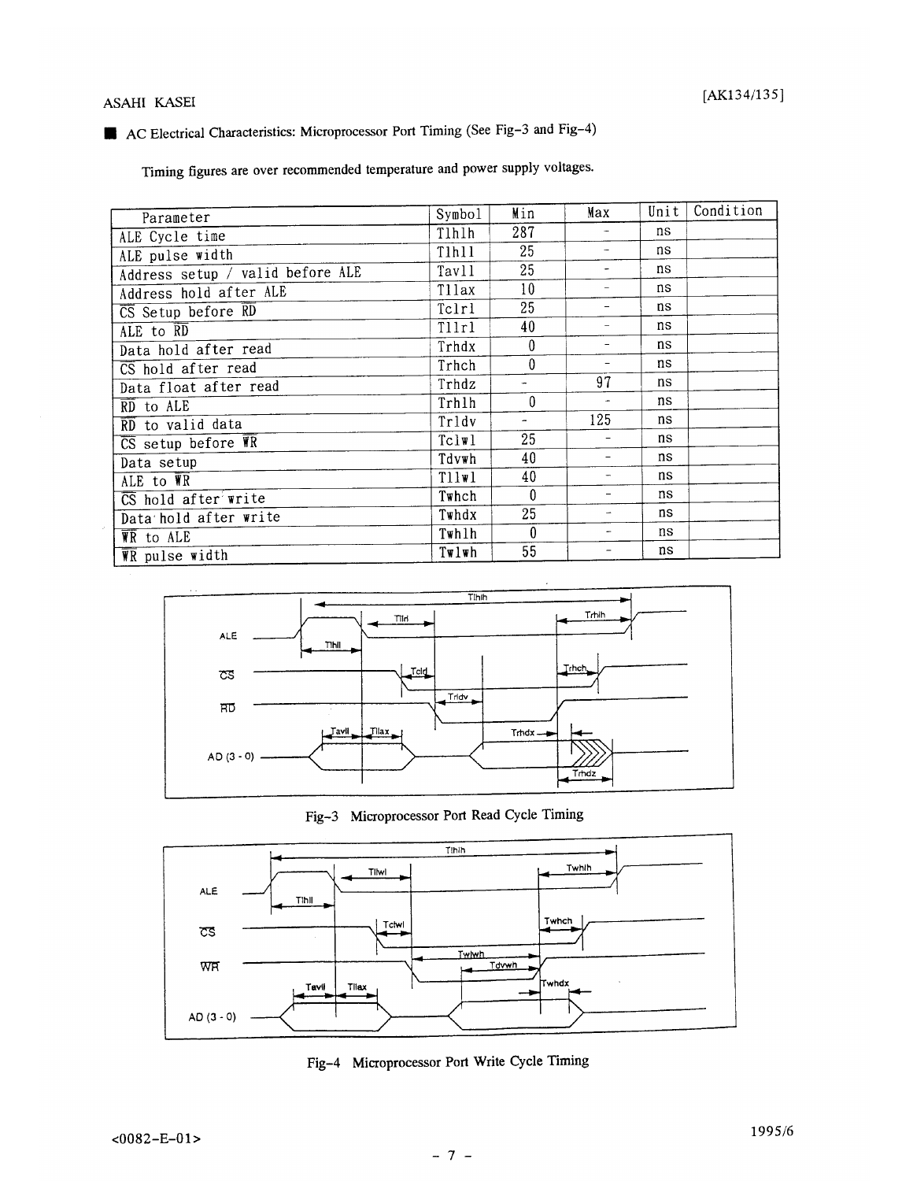# ASAHI KASEI

# AC Electrical Characteristics: Microprocessor Port Timing (See Fig-3 and Fig-4)

Timing figures are over recommended temperature and power supply voltages.

| Parameter                                                  | Symbol | Min | Max | Unit | Condition |
|------------------------------------------------------------|--------|-----|-----|------|-----------|
| ALE Cycle time                                             | Tlhlh  | 287 |     | ns   |           |
| ALE pulse width                                            | Tlhll  | 25  |     | ns   |           |
| Address setup / valid before ALE                           | Tavll  | 25  |     | ns   |           |
| Address hold after ALE                                     | Tllax  | 10  |     | ns   |           |
| $\overline{\text{CS}}$ Setup before $\overline{\text{RD}}$ | Tclrl  | 25  |     | ns   |           |
| ALE to RD                                                  | Tllrl  | 40  |     | ns   |           |
| Data hold after read                                       | Trhdx  | 0   |     | ns   |           |
| CS hold after read                                         | Trhch  | 0   |     | ns   |           |
| Data float after read                                      | Trhdz  |     | 97  | ns   |           |
| $\overline{RD}$ to ALE                                     | Trhlh  | 0   |     | ns   |           |
| RD to valid data                                           | Trldv  | ۰   | 125 | ns   |           |
| $\overline{\text{CS}}$ setup before $\overline{\text{VR}}$ | Tclw1  | 25  |     | ns   |           |
| Data setup                                                 | Tdvwh  | 40  |     | ns   |           |
| ALE to $\overline{\mathbf{W}}\overline{\mathbf{R}}$        | Tllwl  | 40  |     | ns   |           |
| $\overline{\text{CS}}$ hold after write                    | Twhch  | 0   |     | ns   |           |
| Data hold after write                                      | Twhdx  | 25  |     | ns   |           |
| WR to ALE                                                  | Twhlh  | 0   |     | ns   |           |
| $\overline{\mathbf{W}}$ pulse width                        | Twlwh  | 55  |     | ns   |           |



Fig-3 Microprocessor Port Read Cycle Timing



Fig-4 Microprocessor Port Write Cycle Timing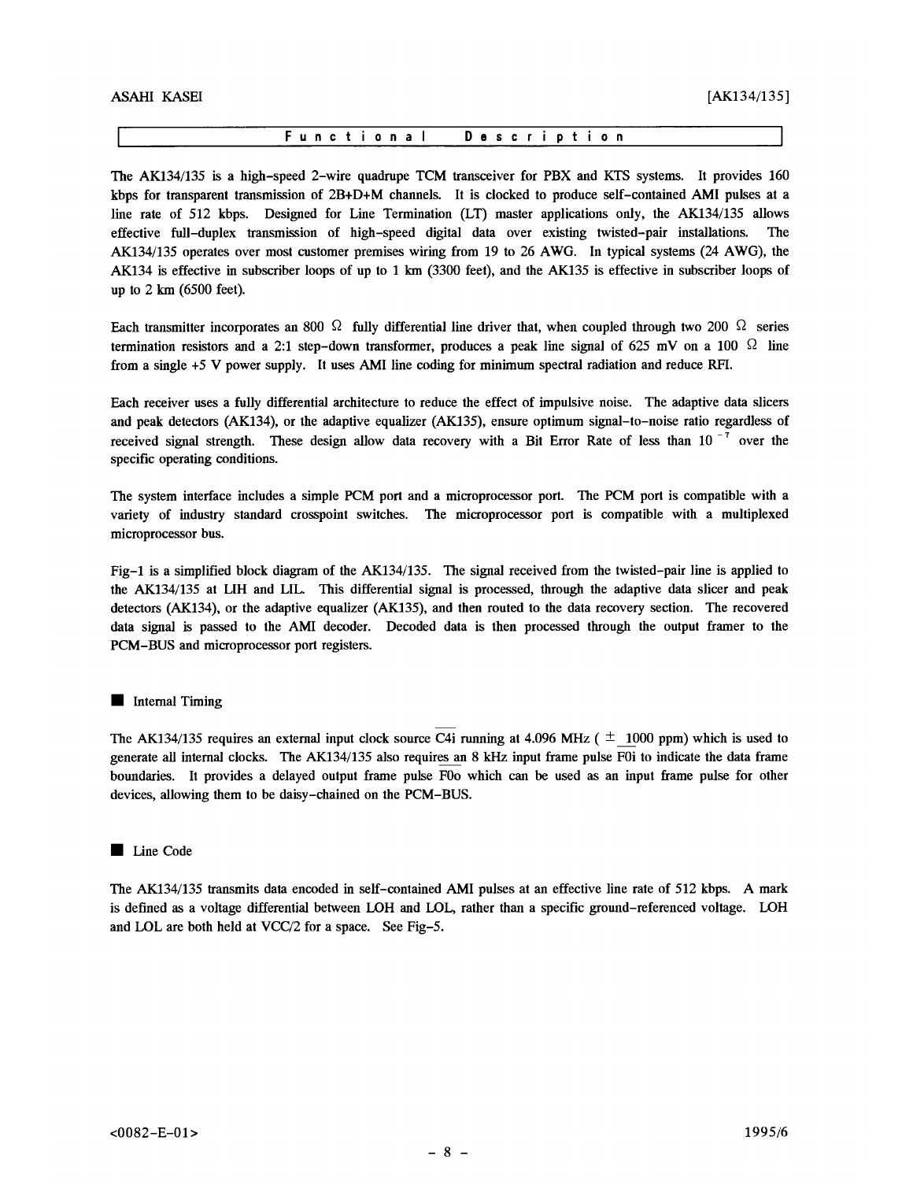The AK134/135 is a high-speed 2-wire quadrupe TCM transceiver for PBX and KTS systems. It provides 160 kbps for transparent transmission of 2B+D+M channels. It is clocked to produce self-contained AMI pulses at a line rate of 512 kbps. Designed for Line Termination (LT) master applications only, the AK134/135 allows effective full-duplex transmission of high-speed digital data over existing twisted-pair installations. AK134/135 operates over most customer premises wiring from 19 to 26 AWG. In typical systems (24 AWG), the AK134 is effective in subscriber loops of up to 1 km (3300 feet), and the AK135 is effective in subscriber loops of up to  $2 \text{ km}$  (6500 feet).

Each transmitter incorporates an 800  $\Omega$  fully differential line driver that, when coupled through two 200  $\Omega$  series termination resistors and a 2:1 step-down transformer, produces a peak line signal of 625 mV on a 100  $\Omega$  line from a single +5 V power supply. It uses AMI line coding for minimum spectral radiation and reduce RFI.

Each receiver uses a fully differential architecture to reduce the effect of impulsive noise. The adaptive data slicers and peak detectors (AK134), or the adaptive equalizer (AK135), ensure optimum signal-to-noise ratio regardless of received signal strength. These design allow data recovery with a Bit Error Rate of less than 10 $^{-7}$  over the specific operating conditions.

The system interface includes a simple PCM port and a microprocessor port. The PCM port is compatible with a variety of industry standard crosspoint switches. The microprocessor port is compatible with a multiplexed microprocessor bus.

Fig-1 is a simplified block diagram of the AK134/135. The signal received from the twisted-pair line is applied to the AK134/135 at LIH and LIL. This differential signal is processed, through the adaptive data slicer and peak detectors (AK134), or the adaptive equalizer (AK135), and then routed to the data recovery section. The recovered data signal is passed to the AMI decoder. Decoded data is then processed through the output framer to the PCM-BUS and microprocessor port registers.

## Internal Timing

The AK134/135 requires an external input clock source C4i running at 4.096 MHz ( $\pm$  1000 ppm) which is used to generate all internal clocks. The AK134/135 also requires an 8 kHz input frame pulse F0i to indicate the data frame boundaries. It provides a delayed output frame pulse F0o which can be used as an input frame pulse for other devices, allowing them to be daisy-chained on the PCM-BUS.

### Line Code

The AK134/135 transmits data encoded in self-contained AMI pulses at an effective line rate of 512 kbps. A mark is defined as a voltage differential between LOH and LOL, rather than a specific ground-referenced voltage. LOH and LOL are both held at VCC/2 for a space. See Fig-5.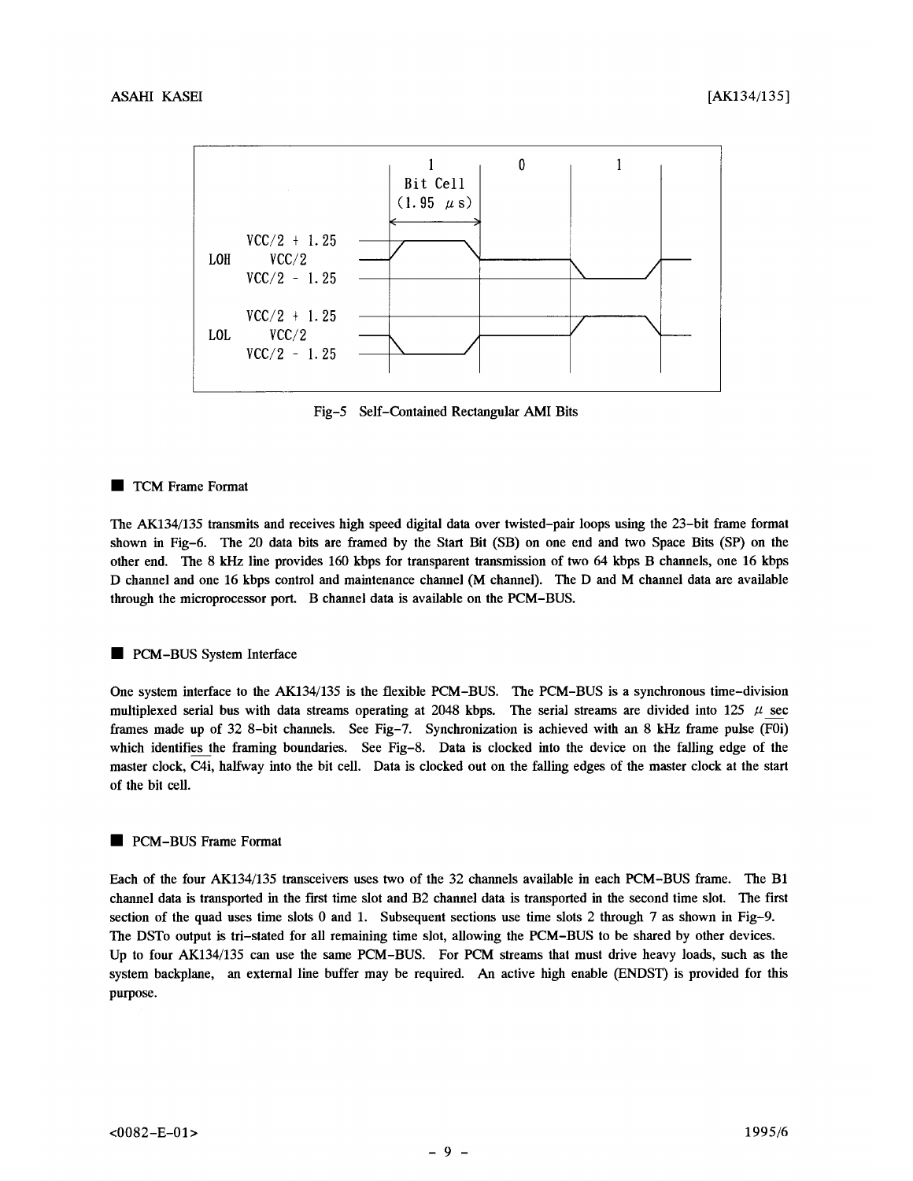

Fig-5 Self-Contained Rectangular AMI Bits

# TCM Frame Format

The AK134/135 transmits and receives high speed digital data over twisted-pair loops using the 23-bit frame format shown in Fig-6. The 20 data bits are framed by the Start Bit (SB) on one end and two Space Bits (SP) on the other end. The 8 kHz line provides 160 kbps for transparent transmission of two 64 kbps B channels, one 16 kbps D channel and one 16 kbps control and maintenance channel (M channel). The D and M channel data are available through the microprocessor port. B channel data is available on the PCM-BUS.

# PCM-BUS System Interface

One system interface to the AK134/135 is the flexible PCM-BUS. The PCM-BUS is a synchronous time-division multiplexed serial bus with data streams operating at 2048 kbps. The serial streams are divided into 125  $\mu$  sec frames made up of 32 8-bit channels. See Fig-7. Synchronization is achieved with an 8 kHz frame pulse (F0i) which identifies the framing boundaries. See Fig-8. Data is clocked into the device on the falling edge of the master clock, C4i, halfway into the bit cell. Data is clocked out on the falling edges of the master clock at the start of the bit cell.

# PCM-BUS Frame Format

Each of the four AK134/135 transceivers uses two of the 32 channels available in each PCM-BUS frame. The B1 channel data is transported in the first time slot and B2 channel data is transported in the second time slot. The first section of the quad uses time slots 0 and 1. Subsequent sections use time slots 2 through 7 as shown in Fig-9. The DSTo output is tri-stated for all remaining time slot, allowing the PCM-BUS to be shared by other devices. Up to four AK134/135 can use the same PCM-BUS. For PCM streams that must drive heavy loads, such as the system backplane, an external line buffer may be required. An active high enable (ENDST) is provided for this purpose.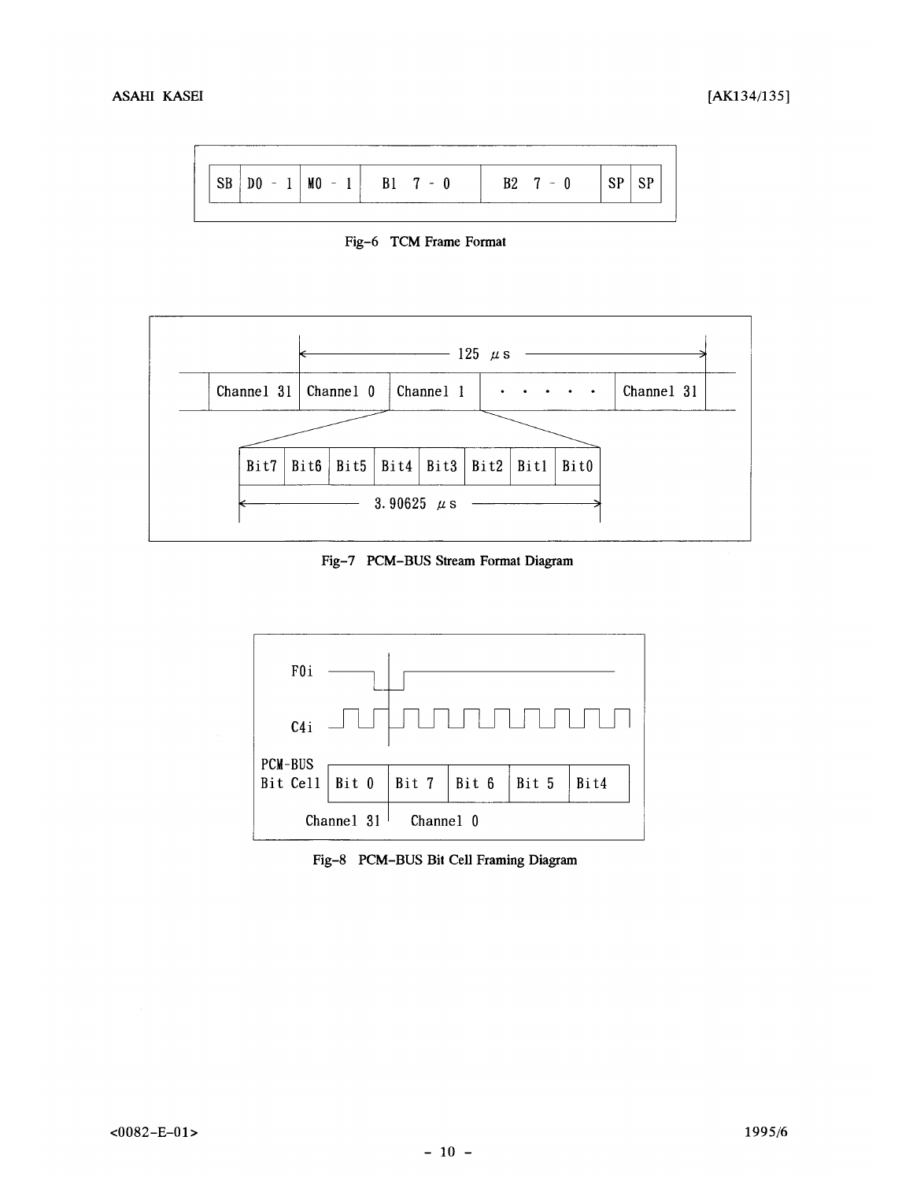

Fig-6 TCM Frame Format



Fig-7 PCM-BUS Stream Format Diagram



Fig-8 PCM-BUS Bit Cell Framing Diagram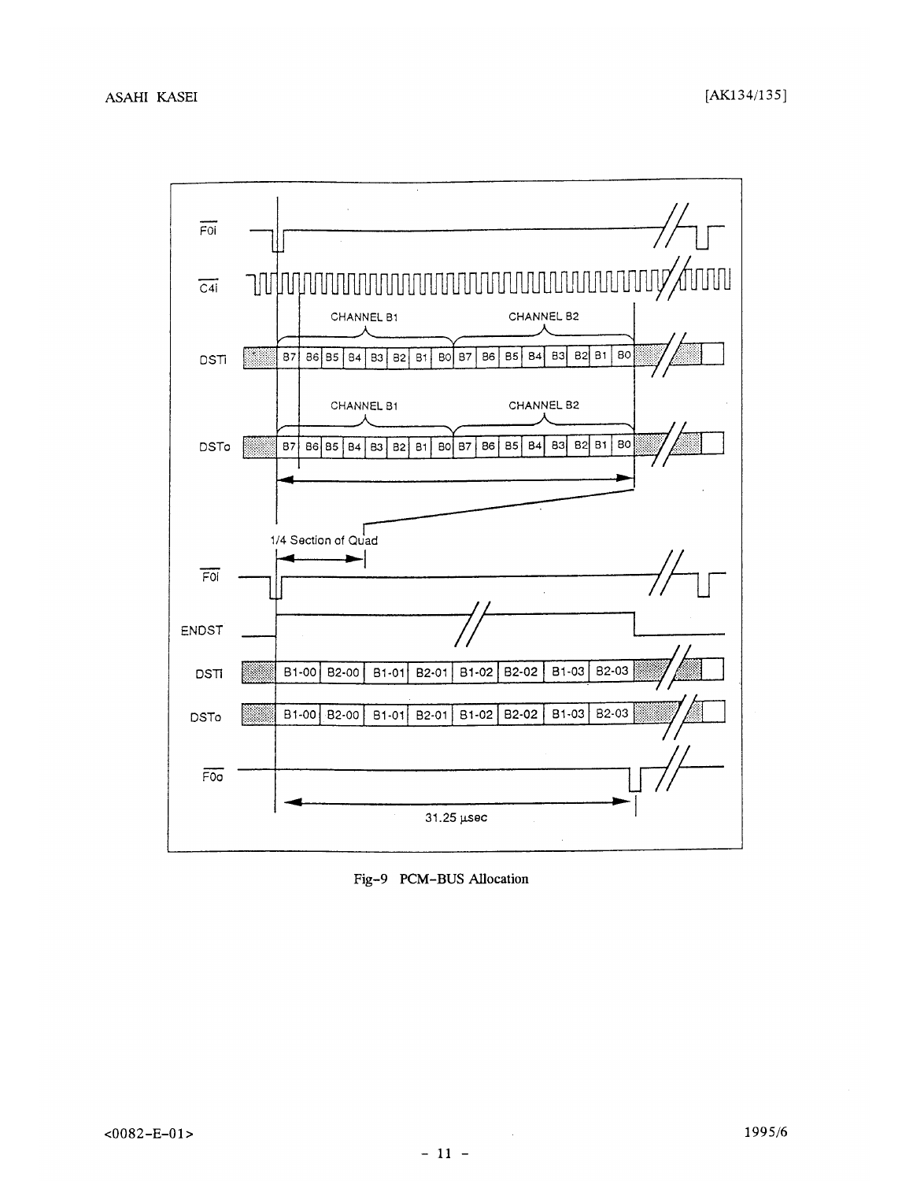

Fig-9 PCM-BUS Allocation

 $\sim$   $\epsilon$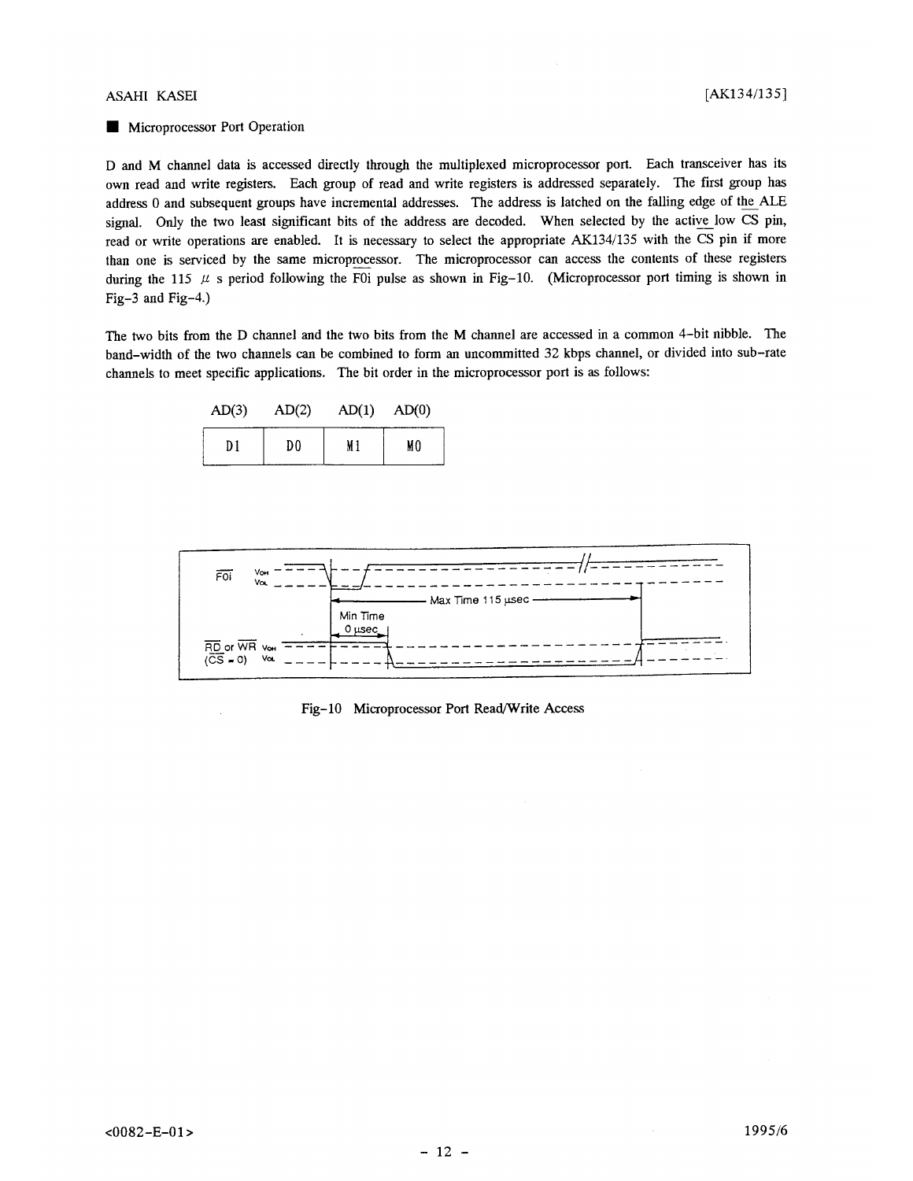### **ASAHI KASEI**

# Microprocessor Port Operation

D and M channel data is accessed directly through the multiplexed microprocessor port. Each transceiver has its own read and write registers. Each group of read and write registers is addressed separately. The first group has address 0 and subsequent groups have incremental addresses. The address is latched on the falling edge of the ALE signal. Only the two least significant bits of the address are decoded. When selected by the active low CS pin, read or write operations are enabled. It is necessary to select the appropriate AK134/135 with the CS pin if more than one is serviced by the same microprocessor. The microprocessor can access the contents of these registers during the 115  $\mu$  s period following the F0i pulse as shown in Fig-10. (Microprocessor port timing is shown in Fig-3 and Fig-4.)

The two bits from the D channel and the two bits from the M channel are accessed in a common 4-bit nibble. The band-width of the two channels can be combined to form an uncommitted 32 kbps channel, or divided into sub-rate channels to meet specific applications. The bit order in the microprocessor port is as follows:

| AD(3) | AD(2) | AD(1) | AD(0) |
|-------|-------|-------|-------|
| Dl    | D0    | M 1   | MO    |



Fig-10 Microprocessor Port Read/Write Access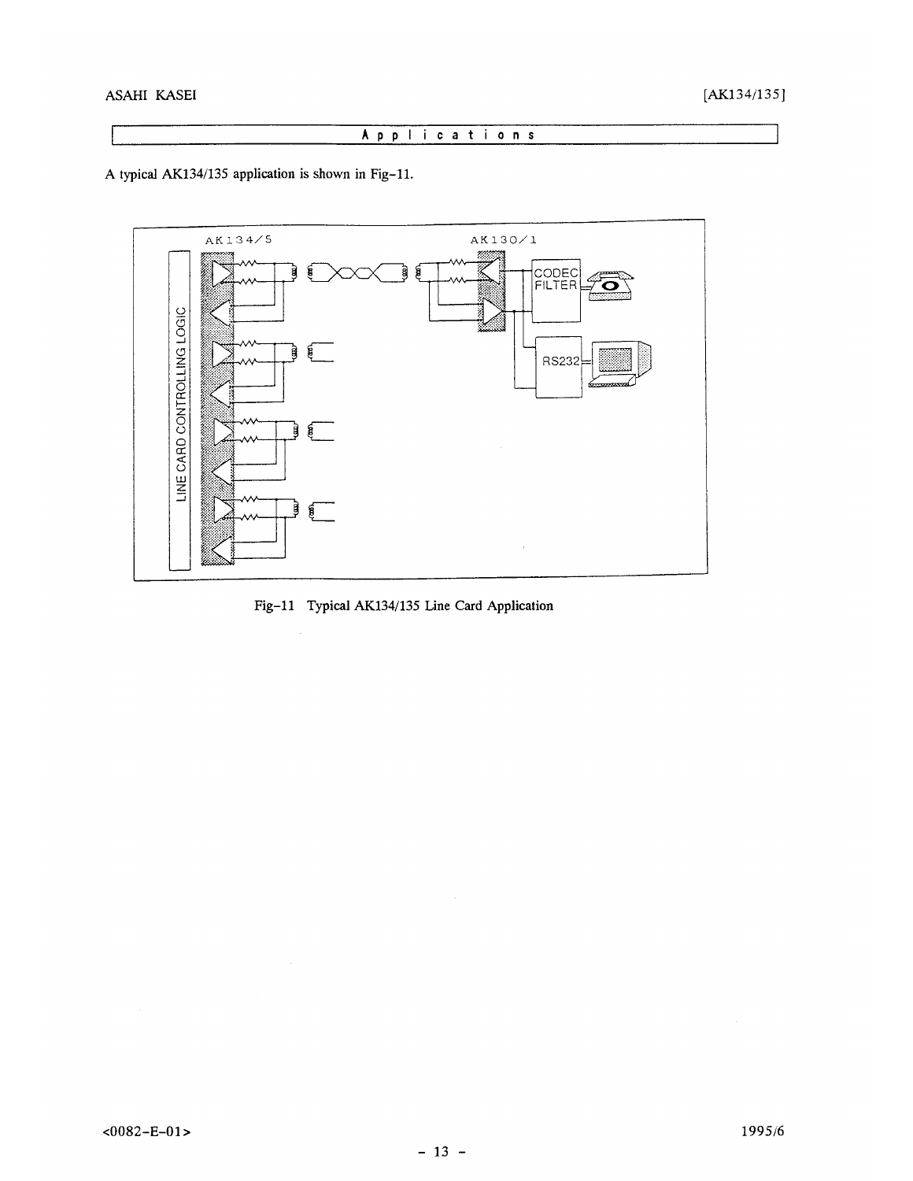# Applications

A typical AK134/135 application is shown in Fig-11.



Fig-11 Typical AK134/135 Line Card Application

 $\mathcal{A}^{\mathcal{A}}$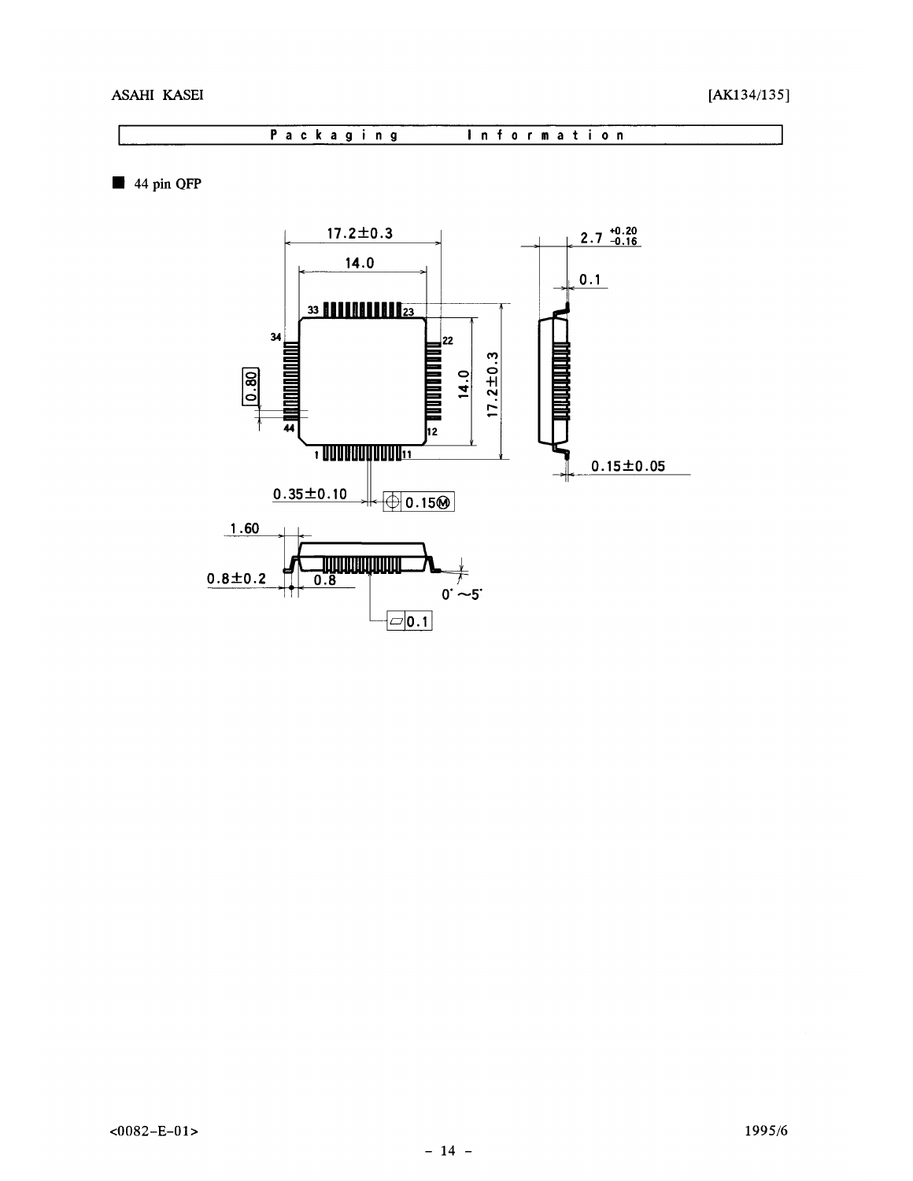Packaging Information

44 pin QFP